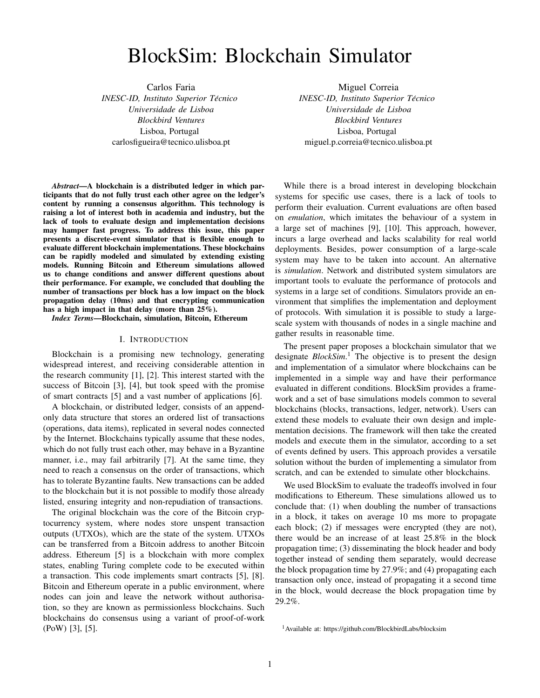# BlockSim: Blockchain Simulator

Carlos Faria *INESC-ID, Instituto Superior Tecnico ´ Universidade de Lisboa Blockbird Ventures* Lisboa, Portugal carlosfigueira@tecnico.ulisboa.pt

Miguel Correia *INESC-ID, Instituto Superior Tecnico ´ Universidade de Lisboa Blockbird Ventures* Lisboa, Portugal miguel.p.correia@tecnico.ulisboa.pt

*Abstract*—A blockchain is a distributed ledger in which participants that do not fully trust each other agree on the ledger's content by running a consensus algorithm. This technology is raising a lot of interest both in academia and industry, but the lack of tools to evaluate design and implementation decisions may hamper fast progress. To address this issue, this paper presents a discrete-event simulator that is flexible enough to evaluate different blockchain implementations. These blockchains can be rapidly modeled and simulated by extending existing models. Running Bitcoin and Ethereum simulations allowed us to change conditions and answer different questions about their performance. For example, we concluded that doubling the number of transactions per block has a low impact on the block propagation delay (10ms) and that encrypting communication has a high impact in that delay (more than 25%).

*Index Terms*—Blockchain, simulation, Bitcoin, Ethereum

#### I. INTRODUCTION

Blockchain is a promising new technology, generating widespread interest, and receiving considerable attention in the research community [\[1\]](#page-7-0), [\[2\]](#page-7-1). This interest started with the success of Bitcoin [\[3\]](#page-7-2), [\[4\]](#page-7-3), but took speed with the promise of smart contracts [\[5\]](#page-7-4) and a vast number of applications [\[6\]](#page-7-5).

A blockchain, or distributed ledger, consists of an appendonly data structure that stores an ordered list of transactions (operations, data items), replicated in several nodes connected by the Internet. Blockchains typically assume that these nodes, which do not fully trust each other, may behave in a Byzantine manner, i.e., may fail arbitrarily [\[7\]](#page-7-6). At the same time, they need to reach a consensus on the order of transactions, which has to tolerate Byzantine faults. New transactions can be added to the blockchain but it is not possible to modify those already listed, ensuring integrity and non-repudiation of transactions.

The original blockchain was the core of the Bitcoin cryptocurrency system, where nodes store unspent transaction outputs (UTXOs), which are the state of the system. UTXOs can be transferred from a Bitcoin address to another Bitcoin address. Ethereum [\[5\]](#page-7-4) is a blockchain with more complex states, enabling Turing complete code to be executed within a transaction. This code implements smart contracts [\[5\]](#page-7-4), [\[8\]](#page-7-7). Bitcoin and Ethereum operate in a public environment, where nodes can join and leave the network without authorisation, so they are known as permissionless blockchains. Such blockchains do consensus using a variant of proof-of-work (PoW) [\[3\]](#page-7-2), [\[5\]](#page-7-4).

While there is a broad interest in developing blockchain systems for specific use cases, there is a lack of tools to perform their evaluation. Current evaluations are often based on *emulation*, which imitates the behaviour of a system in a large set of machines [\[9\]](#page-7-8), [\[10\]](#page-7-9). This approach, however, incurs a large overhead and lacks scalability for real world deployments. Besides, power consumption of a large-scale system may have to be taken into account. An alternative is *simulation*. Network and distributed system simulators are important tools to evaluate the performance of protocols and systems in a large set of conditions. Simulators provide an environment that simplifies the implementation and deployment of protocols. With simulation it is possible to study a largescale system with thousands of nodes in a single machine and gather results in reasonable time.

The present paper proposes a blockchain simulator that we designate *BlockSim*. [1](#page-0-0) The objective is to present the design and implementation of a simulator where blockchains can be implemented in a simple way and have their performance evaluated in different conditions. BlockSim provides a framework and a set of base simulations models common to several blockchains (blocks, transactions, ledger, network). Users can extend these models to evaluate their own design and implementation decisions. The framework will then take the created models and execute them in the simulator, according to a set of events defined by users. This approach provides a versatile solution without the burden of implementing a simulator from scratch, and can be extended to simulate other blockchains.

We used BlockSim to evaluate the tradeoffs involved in four modifications to Ethereum. These simulations allowed us to conclude that: (1) when doubling the number of transactions in a block, it takes on average 10 ms more to propagate each block; (2) if messages were encrypted (they are not), there would be an increase of at least 25.8% in the block propagation time; (3) disseminating the block header and body together instead of sending them separately, would decrease the block propagation time by 27.9%; and (4) propagating each transaction only once, instead of propagating it a second time in the block, would decrease the block propagation time by 29.2%.

<span id="page-0-0"></span><sup>1</sup>Available at: <https://github.com/BlockbirdLabs/blocksim>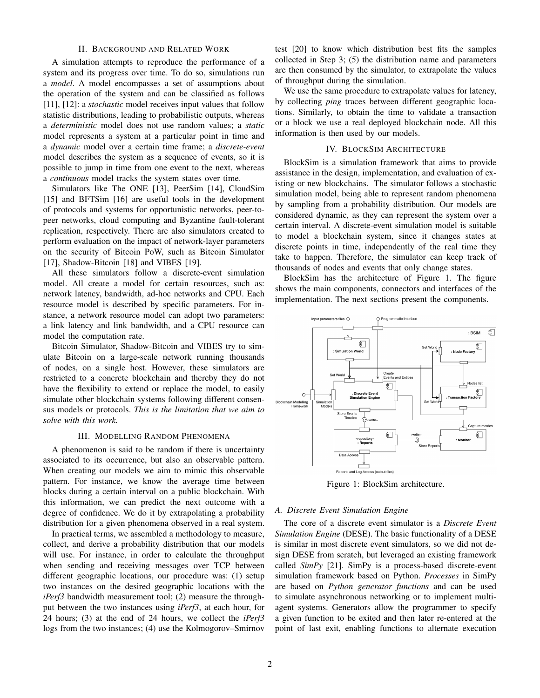# II. BACKGROUND AND RELATED WORK

A simulation attempts to reproduce the performance of a system and its progress over time. To do so, simulations run a *model*. A model encompasses a set of assumptions about the operation of the system and can be classified as follows [\[11\]](#page-7-10), [\[12\]](#page-7-11): a *stochastic* model receives input values that follow statistic distributions, leading to probabilistic outputs, whereas a *deterministic* model does not use random values; a *static* model represents a system at a particular point in time and a *dynamic* model over a certain time frame; a *discrete-event* model describes the system as a sequence of events, so it is possible to jump in time from one event to the next, whereas a *continuous* model tracks the system states over time.

Simulators like The ONE [\[13\]](#page-7-12), PeerSim [\[14\]](#page-7-13), CloudSim [\[15\]](#page-7-14) and BFTSim [\[16\]](#page-7-15) are useful tools in the development of protocols and systems for opportunistic networks, peer-topeer networks, cloud computing and Byzantine fault-tolerant replication, respectively. There are also simulators created to perform evaluation on the impact of network-layer parameters on the security of Bitcoin PoW, such as Bitcoin Simulator [\[17\]](#page-7-16), Shadow-Bitcoin [\[18\]](#page-7-17) and VIBES [\[19\]](#page-7-18).

All these simulators follow a discrete-event simulation model. All create a model for certain resources, such as: network latency, bandwidth, ad-hoc networks and CPU. Each resource model is described by specific parameters. For instance, a network resource model can adopt two parameters: a link latency and link bandwidth, and a CPU resource can model the computation rate.

Bitcoin Simulator, Shadow-Bitcoin and VIBES try to simulate Bitcoin on a large-scale network running thousands of nodes, on a single host. However, these simulators are restricted to a concrete blockchain and thereby they do not have the flexibility to extend or replace the model, to easily simulate other blockchain systems following different consensus models or protocols. *This is the limitation that we aim to solve with this work.*

# III. MODELLING RANDOM PHENOMENA

<span id="page-1-1"></span>A phenomenon is said to be random if there is uncertainty associated to its occurrence, but also an observable pattern. When creating our models we aim to mimic this observable pattern. For instance, we know the average time between blocks during a certain interval on a public blockchain. With this information, we can predict the next outcome with a degree of confidence. We do it by extrapolating a probability distribution for a given phenomena observed in a real system.

In practical terms, we assembled a methodology to measure, collect, and derive a probability distribution that our models will use. For instance, in order to calculate the throughput when sending and receiving messages over TCP between different geographic locations, our procedure was: (1) setup two instances on the desired geographic locations with the *iPerf3* bandwidth measurement tool; (2) measure the throughput between the two instances using *iPerf3*, at each hour, for 24 hours; (3) at the end of 24 hours, we collect the *iPerf3* logs from the two instances; (4) use the Kolmogorov–Smirnov test [\[20\]](#page-7-19) to know which distribution best fits the samples collected in Step 3; (5) the distribution name and parameters are then consumed by the simulator, to extrapolate the values of throughput during the simulation.

We use the same procedure to extrapolate values for latency, by collecting *ping* traces between different geographic locations. Similarly, to obtain the time to validate a transaction or a block we use a real deployed blockchain node. All this information is then used by our models.

# IV. BLOCKSIM ARCHITECTURE

BlockSim is a simulation framework that aims to provide assistance in the design, implementation, and evaluation of existing or new blockchains. The simulator follows a stochastic simulation model, being able to represent random phenomena by sampling from a probability distribution. Our models are considered dynamic, as they can represent the system over a certain interval. A discrete-event simulation model is suitable to model a blockchain system, since it changes states at discrete points in time, independently of the real time they take to happen. Therefore, the simulator can keep track of thousands of nodes and events that only change states.

BlockSim has the architecture of Figure [1.](#page-1-0) The figure shows the main components, connectors and interfaces of the implementation. The next sections present the components.

<span id="page-1-0"></span>

Figure 1: BlockSim architecture.

### *A. Discrete Event Simulation Engine*

The core of a discrete event simulator is a *Discrete Event Simulation Engine* (DESE). The basic functionality of a DESE is similar in most discrete event simulators, so we did not design DESE from scratch, but leveraged an existing framework called *SimPy* [\[21\]](#page-7-20). SimPy is a process-based discrete-event simulation framework based on Python. *Processes* in SimPy are based on *Python generator functions* and can be used to simulate asynchronous networking or to implement multiagent systems. Generators allow the programmer to specify a given function to be exited and then later re-entered at the point of last exit, enabling functions to alternate execution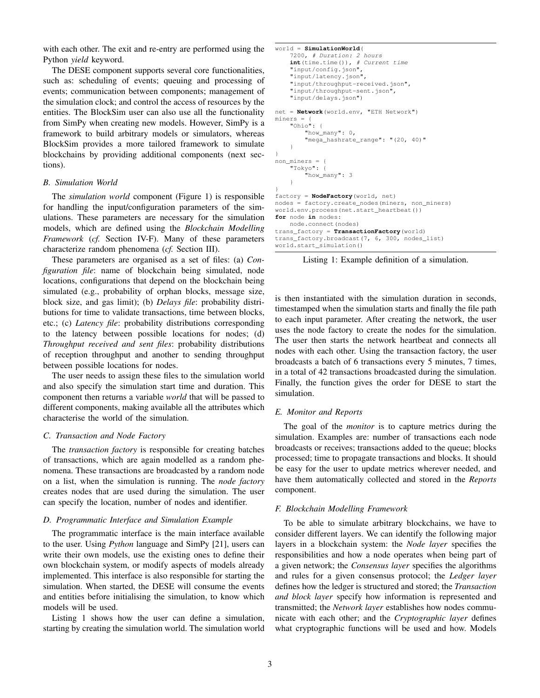with each other. The exit and re-entry are performed using the Python *yield* keyword.

The DESE component supports several core functionalities, such as: scheduling of events; queuing and processing of events; communication between components; management of the simulation clock; and control the access of resources by the entities. The BlockSim user can also use all the functionality from SimPy when creating new models. However, SimPy is a framework to build arbitrary models or simulators, whereas BlockSim provides a more tailored framework to simulate blockchains by providing additional components (next sections).

## <span id="page-2-2"></span>*B. Simulation World*

The *simulation world* component (Figure [1\)](#page-1-0) is responsible for handling the input/configuration parameters of the simulations. These parameters are necessary for the simulation models, which are defined using the *Blockchain Modelling Framework* (*cf.* Section [IV-F\)](#page-2-0). Many of these parameters characterize random phenomena (*cf.* Section [III\)](#page-1-1).

These parameters are organised as a set of files: (a) *Configuration file*: name of blockchain being simulated, node locations, configurations that depend on the blockchain being simulated (e.g., probability of orphan blocks, message size, block size, and gas limit); (b) *Delays file*: probability distributions for time to validate transactions, time between blocks, etc.; (c) *Latency file*: probability distributions corresponding to the latency between possible locations for nodes; (d) *Throughput received and sent files*: probability distributions of reception throughput and another to sending throughput between possible locations for nodes.

The user needs to assign these files to the simulation world and also specify the simulation start time and duration. This component then returns a variable *world* that will be passed to different components, making available all the attributes which characterise the world of the simulation.

### *C. Transaction and Node Factory*

The *transaction factory* is responsible for creating batches of transactions, which are again modelled as a random phenomena. These transactions are broadcasted by a random node on a list, when the simulation is running. The *node factory* creates nodes that are used during the simulation. The user can specify the location, number of nodes and identifier.

#### *D. Programmatic Interface and Simulation Example*

The programmatic interface is the main interface available to the user. Using *Python* language and SimPy [\[21\]](#page-7-20), users can write their own models, use the existing ones to define their own blockchain system, or modify aspects of models already implemented. This interface is also responsible for starting the simulation. When started, the DESE will consume the events and entities before initialising the simulation, to know which models will be used.

Listing [1](#page-2-1) shows how the user can define a simulation, starting by creating the simulation world. The simulation world

```
world = SimulationWorld(
    7200, # Duration: 2 hours
    int(time.time()), # Current time
    "input/config.json"
    "input/latency.json",
    "input/throughput-received.json",
    "input/throughput-sent.json",
    "input/delays.json")
net = Network(world.env, "ETH Network")
miners ="Ohio": {
        "how_many": 0,
        "mega_hashrate_range": "(20, 40)"
    }
}
non miners = {
    "Tokyo": {
        "how_many": 3
    }
}
factory = NodeFactory(world, net)
nodes = factory.create_nodes(miners, non_miners)
world.env.process(net.start_heartbeat())
for node in nodes:
   node.connect(nodes)
trans_factory = TransactionFactory(world)
trans_factory.broadcast(7, 6, 300, nodes_list)
world.start_simulation()
```
Listing 1: Example definition of a simulation.

is then instantiated with the simulation duration in seconds, timestamped when the simulation starts and finally the file path to each input parameter. After creating the network, the user uses the node factory to create the nodes for the simulation. The user then starts the network heartbeat and connects all nodes with each other. Using the transaction factory, the user broadcasts a batch of 6 transactions every 5 minutes, 7 times, in a total of 42 transactions broadcasted during the simulation. Finally, the function gives the order for DESE to start the simulation.

## *E. Monitor and Reports*

The goal of the *monitor* is to capture metrics during the simulation. Examples are: number of transactions each node broadcasts or receives; transactions added to the queue; blocks processed; time to propagate transactions and blocks. It should be easy for the user to update metrics wherever needed, and have them automatically collected and stored in the *Reports* component.

#### <span id="page-2-0"></span>*F. Blockchain Modelling Framework*

To be able to simulate arbitrary blockchains, we have to consider different layers. We can identify the following major layers in a blockchain system: the *Node layer* specifies the responsibilities and how a node operates when being part of a given network; the *Consensus layer* specifies the algorithms and rules for a given consensus protocol; the *Ledger layer* defines how the ledger is structured and stored; the *Transaction and block layer* specify how information is represented and transmitted; the *Network layer* establishes how nodes communicate with each other; and the *Cryptographic layer* defines what cryptographic functions will be used and how. Models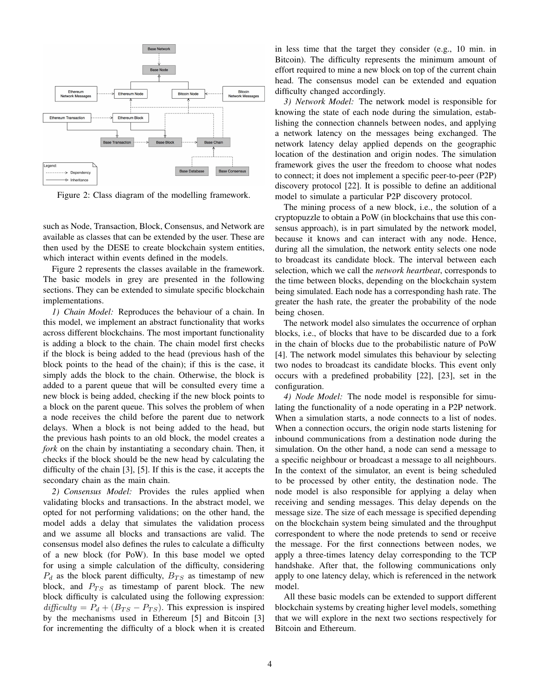<span id="page-3-0"></span>

Figure 2: Class diagram of the modelling framework.

such as Node, Transaction, Block, Consensus, and Network are available as classes that can be extended by the user. These are then used by the DESE to create blockchain system entities, which interact within events defined in the models.

Figure [2](#page-3-0) represents the classes available in the framework. The basic models in grey are presented in the following sections. They can be extended to simulate specific blockchain implementations.

*1) Chain Model:* Reproduces the behaviour of a chain. In this model, we implement an abstract functionality that works across different blockchains. The most important functionality is adding a block to the chain. The chain model first checks if the block is being added to the head (previous hash of the block points to the head of the chain); if this is the case, it simply adds the block to the chain. Otherwise, the block is added to a parent queue that will be consulted every time a new block is being added, checking if the new block points to a block on the parent queue. This solves the problem of when a node receives the child before the parent due to network delays. When a block is not being added to the head, but the previous hash points to an old block, the model creates a *fork* on the chain by instantiating a secondary chain. Then, it checks if the block should be the new head by calculating the difficulty of the chain [\[3\]](#page-7-2), [\[5\]](#page-7-4). If this is the case, it accepts the secondary chain as the main chain.

*2) Consensus Model:* Provides the rules applied when validating blocks and transactions. In the abstract model, we opted for not performing validations; on the other hand, the model adds a delay that simulates the validation process and we assume all blocks and transactions are valid. The consensus model also defines the rules to calculate a difficulty of a new block (for PoW). In this base model we opted for using a simple calculation of the difficulty, considering  $P_d$  as the block parent difficulty,  $B_{TS}$  as timestamp of new block, and  $P_{TS}$  as timestamp of parent block. The new block difficulty is calculated using the following expression:  $difficulty = P_d + (B_{TS} - P_{TS})$ . This expression is inspired by the mechanisms used in Ethereum [\[5\]](#page-7-4) and Bitcoin [\[3\]](#page-7-2) for incrementing the difficulty of a block when it is created in less time that the target they consider (e.g., 10 min. in Bitcoin). The difficulty represents the minimum amount of effort required to mine a new block on top of the current chain head. The consensus model can be extended and equation difficulty changed accordingly.

*3) Network Model:* The network model is responsible for knowing the state of each node during the simulation, establishing the connection channels between nodes, and applying a network latency on the messages being exchanged. The network latency delay applied depends on the geographic location of the destination and origin nodes. The simulation framework gives the user the freedom to choose what nodes to connect; it does not implement a specific peer-to-peer (P2P) discovery protocol [\[22\]](#page-7-21). It is possible to define an additional model to simulate a particular P2P discovery protocol.

The mining process of a new block, i.e., the solution of a cryptopuzzle to obtain a PoW (in blockchains that use this consensus approach), is in part simulated by the network model, because it knows and can interact with any node. Hence, during all the simulation, the network entity selects one node to broadcast its candidate block. The interval between each selection, which we call the *network heartbeat*, corresponds to the time between blocks, depending on the blockchain system being simulated. Each node has a corresponding hash rate. The greater the hash rate, the greater the probability of the node being chosen.

The network model also simulates the occurrence of orphan blocks, i.e., of blocks that have to be discarded due to a fork in the chain of blocks due to the probabilistic nature of PoW [\[4\]](#page-7-3). The network model simulates this behaviour by selecting two nodes to broadcast its candidate blocks. This event only occurs with a predefined probability [\[22\]](#page-7-21), [\[23\]](#page-7-22), set in the configuration.

*4) Node Model:* The node model is responsible for simulating the functionality of a node operating in a P2P network. When a simulation starts, a node connects to a list of nodes. When a connection occurs, the origin node starts listening for inbound communications from a destination node during the simulation. On the other hand, a node can send a message to a specific neighbour or broadcast a message to all neighbours. In the context of the simulator, an event is being scheduled to be processed by other entity, the destination node. The node model is also responsible for applying a delay when receiving and sending messages. This delay depends on the message size. The size of each message is specified depending on the blockchain system being simulated and the throughput correspondent to where the node pretends to send or receive the message. For the first connections between nodes, we apply a three-times latency delay corresponding to the TCP handshake. After that, the following communications only apply to one latency delay, which is referenced in the network model.

All these basic models can be extended to support different blockchain systems by creating higher level models, something that we will explore in the next two sections respectively for Bitcoin and Ethereum.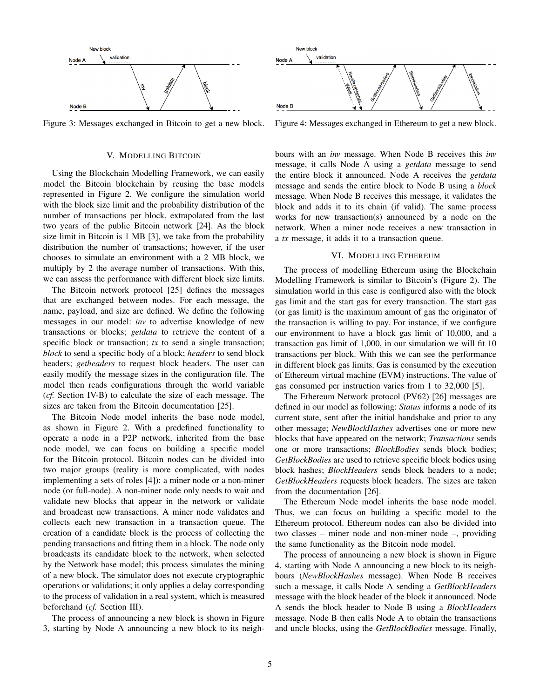<span id="page-4-0"></span>

Figure 3: Messages exchanged in Bitcoin to get a new block.

## V. MODELLING BITCOIN

<span id="page-4-2"></span>Using the Blockchain Modelling Framework, we can easily model the Bitcoin blockchain by reusing the base models represented in Figure [2.](#page-3-0) We configure the simulation world with the block size limit and the probability distribution of the number of transactions per block, extrapolated from the last two years of the public Bitcoin network [\[24\]](#page-7-23). As the block size limit in Bitcoin is 1 MB [\[3\]](#page-7-2), we take from the probability distribution the number of transactions; however, if the user chooses to simulate an environment with a 2 MB block, we multiply by 2 the average number of transactions. With this, we can assess the performance with different block size limits.

The Bitcoin network protocol [\[25\]](#page-7-24) defines the messages that are exchanged between nodes. For each message, the name, payload, and size are defined. We define the following messages in our model: *inv* to advertise knowledge of new transactions or blocks; *getdata* to retrieve the content of a specific block or transaction; *tx* to send a single transaction; *block* to send a specific body of a block; *headers* to send block headers; *getheaders* to request block headers. The user can easily modify the message sizes in the configuration file. The model then reads configurations through the world variable (*cf.* Section [IV-B\)](#page-2-2) to calculate the size of each message. The sizes are taken from the Bitcoin documentation [\[25\]](#page-7-24).

The Bitcoin Node model inherits the base node model, as shown in Figure [2.](#page-3-0) With a predefined functionality to operate a node in a P2P network, inherited from the base node model, we can focus on building a specific model for the Bitcoin protocol. Bitcoin nodes can be divided into two major groups (reality is more complicated, with nodes implementing a sets of roles [\[4\]](#page-7-3)): a miner node or a non-miner node (or full-node). A non-miner node only needs to wait and validate new blocks that appear in the network or validate and broadcast new transactions. A miner node validates and collects each new transaction in a transaction queue. The creation of a candidate block is the process of collecting the pending transactions and fitting them in a block. The node only broadcasts its candidate block to the network, when selected by the Network base model; this process simulates the mining of a new block. The simulator does not execute cryptographic operations or validations; it only applies a delay corresponding to the process of validation in a real system, which is measured beforehand (*cf.* Section [III\)](#page-1-1).

The process of announcing a new block is shown in Figure [3,](#page-4-0) starting by Node A announcing a new block to its neigh-

<span id="page-4-1"></span>

Figure 4: Messages exchanged in Ethereum to get a new block.

bours with an *inv* message. When Node B receives this *inv* message, it calls Node A using a *getdata* message to send the entire block it announced. Node A receives the *getdata* message and sends the entire block to Node B using a *block* message. When Node B receives this message, it validates the block and adds it to its chain (if valid). The same process works for new transaction(s) announced by a node on the network. When a miner node receives a new transaction in a *tx* message, it adds it to a transaction queue.

### VI. MODELLING ETHEREUM

The process of modelling Ethereum using the Blockchain Modelling Framework is similar to Bitcoin's (Figure [2\)](#page-3-0). The simulation world in this case is configured also with the block gas limit and the start gas for every transaction. The start gas (or gas limit) is the maximum amount of gas the originator of the transaction is willing to pay. For instance, if we configure our environment to have a block gas limit of 10,000, and a transaction gas limit of 1,000, in our simulation we will fit 10 transactions per block. With this we can see the performance in different block gas limits. Gas is consumed by the execution of Ethereum virtual machine (EVM) instructions. The value of gas consumed per instruction varies from 1 to 32,000 [\[5\]](#page-7-4).

The Ethereum Network protocol (PV62) [\[26\]](#page-7-25) messages are defined in our model as following: *Status* informs a node of its current state, sent after the initial handshake and prior to any other message; *NewBlockHashes* advertises one or more new blocks that have appeared on the network; *Transactions* sends one or more transactions; *BlockBodies* sends block bodies; *GetBlockBodies* are used to retrieve specific block bodies using block hashes; *BlockHeaders* sends block headers to a node; *GetBlockHeaders* requests block headers. The sizes are taken from the documentation [\[26\]](#page-7-25).

The Ethereum Node model inherits the base node model. Thus, we can focus on building a specific model to the Ethereum protocol. Ethereum nodes can also be divided into two classes – miner node and non-miner node –, providing the same functionality as the Bitcoin node model.

The process of announcing a new block is shown in Figure [4,](#page-4-1) starting with Node A announcing a new block to its neighbours (*NewBlockHashes* message). When Node B receives such a message, it calls Node A sending a *GetBlockHeaders* message with the block header of the block it announced. Node A sends the block header to Node B using a *BlockHeaders* message. Node B then calls Node A to obtain the transactions and uncle blocks, using the *GetBlockBodies* message. Finally,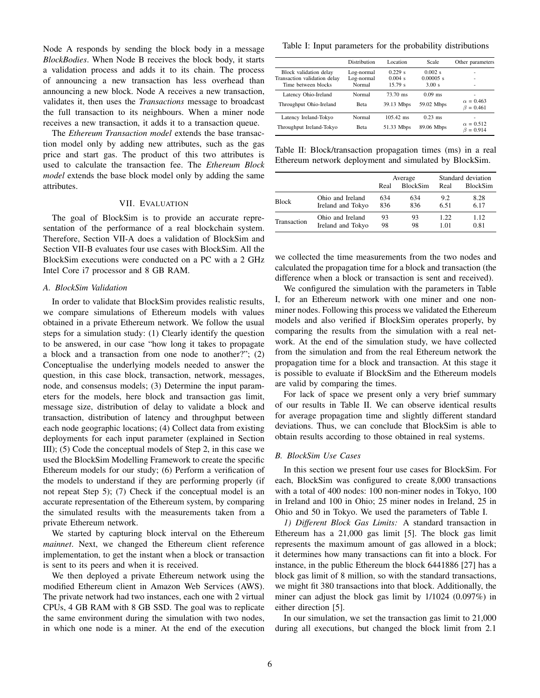Node A responds by sending the block body in a message *BlockBodies*. When Node B receives the block body, it starts a validation process and adds it to its chain. The process of announcing a new transaction has less overhead than announcing a new block. Node A receives a new transaction, validates it, then uses the *Transactions* message to broadcast the full transaction to its neighbours. When a miner node receives a new transaction, it adds it to a transaction queue.

The *Ethereum Transaction model* extends the base transaction model only by adding new attributes, such as the gas price and start gas. The product of this two attributes is used to calculate the transaction fee. The *Ethereum Block model* extends the base block model only by adding the same attributes.

# VII. EVALUATION

The goal of BlockSim is to provide an accurate representation of the performance of a real blockchain system. Therefore, Section [VII-A](#page-5-0) does a validation of BlockSim and Section [VII-B](#page-5-1) evaluates four use cases with BlockSim. All the BlockSim executions were conducted on a PC with a 2 GHz Intel Core i7 processor and 8 GB RAM.

#### <span id="page-5-0"></span>*A. BlockSim Validation*

In order to validate that BlockSim provides realistic results, we compare simulations of Ethereum models with values obtained in a private Ethereum network. We follow the usual steps for a simulation study: (1) Clearly identify the question to be answered, in our case "how long it takes to propagate a block and a transaction from one node to another?"; (2) Conceptualise the underlying models needed to answer the question, in this case block, transaction, network, messages, node, and consensus models; (3) Determine the input parameters for the models, here block and transaction gas limit, message size, distribution of delay to validate a block and transaction, distribution of latency and throughput between each node geographic locations; (4) Collect data from existing deployments for each input parameter (explained in Section [III\)](#page-1-1); (5) Code the conceptual models of Step 2, in this case we used the BlockSim Modelling Framework to create the specific Ethereum models for our study; (6) Perform a verification of the models to understand if they are performing properly (if not repeat Step 5); (7) Check if the conceptual model is an accurate representation of the Ethereum system, by comparing the simulated results with the measurements taken from a private Ethereum network.

We started by capturing block interval on the Ethereum *mainnet*. Next, we changed the Ethereum client reference implementation, to get the instant when a block or transaction is sent to its peers and when it is received.

We then deployed a private Ethereum network using the modified Ethereum client in Amazon Web Services (AWS). The private network had two instances, each one with 2 virtual CPUs, 4 GB RAM with 8 GB SSD. The goal was to replicate the same environment during the simulation with two nodes, in which one node is a miner. At the end of the execution

<span id="page-5-2"></span>Table I: Input parameters for the probability distributions

|                              | Distribution | Location    | Scale       | Other parameters |
|------------------------------|--------------|-------------|-------------|------------------|
| Block validation delay       | Log-normal   | $0.229$ s   | $0.002$ s   |                  |
| Transaction validation delay | Log-normal   | $0.004$ s   | $0.00005$ s |                  |
| Time between blocks          | Normal       | 15.79 s     | 3.00 s      |                  |
| Latency Ohio-Ireland         | Normal       | 73.70 ms    | $0.09$ ms   | $\alpha = 0.463$ |
| Throughput Ohio-Ireland      | <b>Beta</b>  | 39.13 Mbps  | 59.02 Mbps  | $\beta = 0.461$  |
| Latency Ireland-Tokyo        | Normal       | $105.42$ ms | $0.23$ ms   | $\alpha = 0.512$ |
| Throughput Ireland-Tokyo     | <b>Beta</b>  | 51.33 Mbps  | 89.06 Mbps  | $\beta = 0.914$  |

<span id="page-5-3"></span>Table II: Block/transaction propagation times (ms) in a real Ethereum network deployment and simulated by BlockSim.

|              |                   | Average |                 | Standard deviation |                 |
|--------------|-------------------|---------|-----------------|--------------------|-----------------|
|              |                   | Real    | <b>BlockSim</b> | Real               | <b>BlockSim</b> |
| <b>Block</b> | Ohio and Ireland  | 634     | 634             | 9.2                | 8.28            |
|              | Ireland and Tokyo | 836     | 836             | 6.51               | 6.17            |
| Transaction  | Ohio and Ireland  | 93      | 93              | 1.22               | 1.12            |
|              | Ireland and Tokyo | 98      | 98              | 1.01               | 0.81            |

we collected the time measurements from the two nodes and calculated the propagation time for a block and transaction (the difference when a block or transaction is sent and received).

We configured the simulation with the parameters in Table [I,](#page-5-2) for an Ethereum network with one miner and one nonminer nodes. Following this process we validated the Ethereum models and also verified if BlockSim operates properly, by comparing the results from the simulation with a real network. At the end of the simulation study, we have collected from the simulation and from the real Ethereum network the propagation time for a block and transaction. At this stage it is possible to evaluate if BlockSim and the Ethereum models are valid by comparing the times.

For lack of space we present only a very brief summary of our results in Table [II.](#page-5-3) We can observe identical results for average propagation time and slightly different standard deviations. Thus, we can conclude that BlockSim is able to obtain results according to those obtained in real systems.

# <span id="page-5-1"></span>*B. BlockSim Use Cases*

In this section we present four use cases for BlockSim. For each, BlockSim was configured to create 8,000 transactions with a total of 400 nodes: 100 non-miner nodes in Tokyo, 100 in Ireland and 100 in Ohio; 25 miner nodes in Ireland, 25 in Ohio and 50 in Tokyo. We used the parameters of Table [I.](#page-5-2)

*1) Different Block Gas Limits:* A standard transaction in Ethereum has a 21,000 gas limit [\[5\]](#page-7-4). The block gas limit represents the maximum amount of gas allowed in a block; it determines how many transactions can fit into a block. For instance, in the public Ethereum the block 6441886 [\[27\]](#page-7-26) has a block gas limit of 8 million, so with the standard transactions, we might fit 380 transactions into that block. Additionally, the miner can adjust the block gas limit by 1/1024 (0.097%) in either direction [\[5\]](#page-7-4).

In our simulation, we set the transaction gas limit to 21,000 during all executions, but changed the block limit from 2.1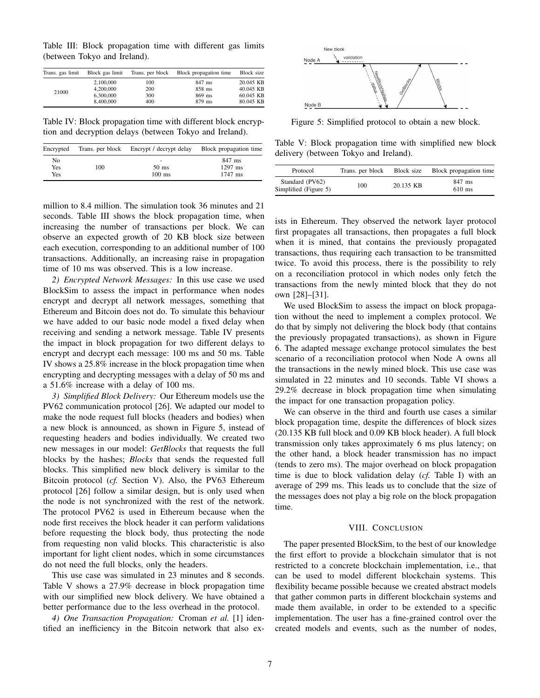<span id="page-6-0"></span>Table III: Block propagation time with different gas limits (between Tokyo and Ireland).

| Trans. gas limit | Block gas limit | Trans. per block | Block propagation time | Block size |
|------------------|-----------------|------------------|------------------------|------------|
| 21000            | 2.100,000       | 100              | 847 ms                 | 20.045 KB  |
|                  | 4.200,000       | 200              | 858 ms                 | 40.045 KB  |
|                  | 6.300,000       | 300              | 869 ms                 | 60.045 KB  |
|                  | 8,400,000       | 400              | 879 ms                 | 80.045 KB  |

<span id="page-6-1"></span>Table IV: Block propagation time with different block encryption and decryption delays (between Tokyo and Ireland).

| Encrypted |     | Trans. per block Encrypt / decrypt delay | Block propagation time |
|-----------|-----|------------------------------------------|------------------------|
| No        | 100 | -                                        | 847 ms                 |
| Yes       |     | $50 \text{ ms}$                          | $1297$ ms              |
| Yes       |     | $100$ ms                                 | $1747$ ms              |

million to 8.4 million. The simulation took 36 minutes and 21 seconds. Table [III](#page-6-0) shows the block propagation time, when increasing the number of transactions per block. We can observe an expected growth of 20 KB block size between each execution, corresponding to an additional number of 100 transactions. Additionally, an increasing raise in propagation time of 10 ms was observed. This is a low increase.

*2) Encrypted Network Messages:* In this use case we used BlockSim to assess the impact in performance when nodes encrypt and decrypt all network messages, something that Ethereum and Bitcoin does not do. To simulate this behaviour we have added to our basic node model a fixed delay when receiving and sending a network message. Table [IV](#page-6-1) presents the impact in block propagation for two different delays to encrypt and decrypt each message: 100 ms and 50 ms. Table [IV](#page-6-1) shows a 25.8% increase in the block propagation time when encrypting and decrypting messages with a delay of 50 ms and a 51.6% increase with a delay of 100 ms.

*3) Simplified Block Delivery:* Our Ethereum models use the PV62 communication protocol [\[26\]](#page-7-25). We adapted our model to make the node request full blocks (headers and bodies) when a new block is announced, as shown in Figure [5,](#page-6-2) instead of requesting headers and bodies individually. We created two new messages in our model: *GetBlocks* that requests the full blocks by the hashes; *Blocks* that sends the requested full blocks. This simplified new block delivery is similar to the Bitcoin protocol (*cf.* Section [V\)](#page-4-2). Also, the PV63 Ethereum protocol [\[26\]](#page-7-25) follow a similar design, but is only used when the node is not synchronized with the rest of the network. The protocol PV62 is used in Ethereum because when the node first receives the block header it can perform validations before requesting the block body, thus protecting the node from requesting non valid blocks. This characteristic is also important for light client nodes, which in some circumstances do not need the full blocks, only the headers.

This use case was simulated in 23 minutes and 8 seconds. Table [V](#page-6-3) shows a 27.9% decrease in block propagation time with our simplified new block delivery. We have obtained a better performance due to the less overhead in the protocol.

*4) One Transaction Propagation:* Croman *et al.* [\[1\]](#page-7-0) identified an inefficiency in the Bitcoin network that also ex-

<span id="page-6-2"></span>

Figure 5: Simplified protocol to obtain a new block.

<span id="page-6-3"></span>Table V: Block propagation time with simplified new block delivery (between Tokyo and Ireland).

| Protocol                                 | Trans. per block | Block size | Block propagation time |
|------------------------------------------|------------------|------------|------------------------|
| Standard (PV62)<br>Simplified (Figure 5) | 100              | 20.135 KB  | 847 ms<br>$610$ ms     |

ists in Ethereum. They observed the network layer protocol first propagates all transactions, then propagates a full block when it is mined, that contains the previously propagated transactions, thus requiring each transaction to be transmitted twice. To avoid this process, there is the possibility to rely on a reconciliation protocol in which nodes only fetch the transactions from the newly minted block that they do not own [\[28\]](#page-7-27)–[\[31\]](#page-7-28).

We used BlockSim to assess the impact on block propagation without the need to implement a complex protocol. We do that by simply not delivering the block body (that contains the previously propagated transactions), as shown in Figure [6.](#page-7-29) The adapted message exchange protocol simulates the best scenario of a reconciliation protocol when Node A owns all the transactions in the newly mined block. This use case was simulated in 22 minutes and 10 seconds. Table [VI](#page-7-30) shows a 29.2% decrease in block propagation time when simulating the impact for one transaction propagation policy.

We can observe in the third and fourth use cases a similar block propagation time, despite the differences of block sizes (20.135 KB full block and 0.09 KB block header). A full block transmission only takes approximately 6 ms plus latency; on the other hand, a block header transmission has no impact (tends to zero ms). The major overhead on block propagation time is due to block validation delay (*cf.* Table [I\)](#page-5-2) with an average of 299 ms. This leads us to conclude that the size of the messages does not play a big role on the block propagation time.

#### VIII. CONCLUSION

The paper presented BlockSim, to the best of our knowledge the first effort to provide a blockchain simulator that is not restricted to a concrete blockchain implementation, i.e., that can be used to model different blockchain systems. This flexibility became possible because we created abstract models that gather common parts in different blockchain systems and made them available, in order to be extended to a specific implementation. The user has a fine-grained control over the created models and events, such as the number of nodes,